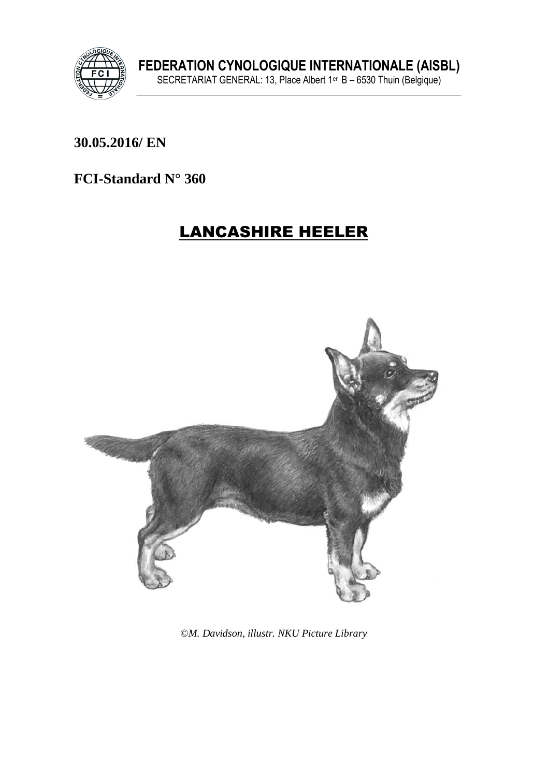

**\_\_\_\_\_\_\_\_\_\_\_\_\_\_\_\_\_\_\_\_\_\_\_\_\_\_\_\_\_\_\_\_\_\_\_\_\_\_\_\_\_\_\_\_\_\_\_\_\_\_\_\_\_\_\_\_\_\_\_\_\_\_\_ 30.05.2016/ EN** 

**FCI-Standard N° 360**

# LANCASHIRE HEELER



©*M. Davidson, illustr. NKU Picture Library*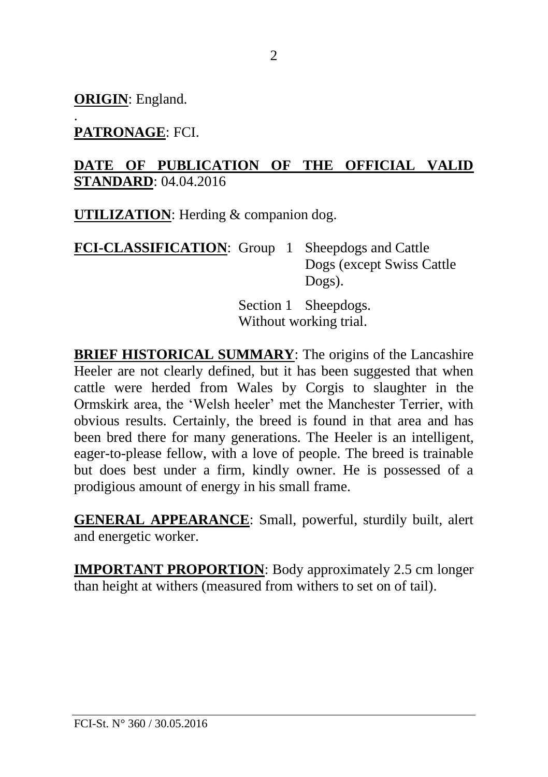**ORIGIN**: England.

#### . **PATRONAGE**: FCI.

#### **DATE OF PUBLICATION OF THE OFFICIAL VALID STANDARD**: 04.04.2016

**UTILIZATION**: Herding & companion dog.

**FCI-CLASSIFICATION**: Group 1 Sheepdogs and Cattle Dogs (except Swiss Cattle Dogs).

> Section 1 Sheepdogs. Without working trial.

**BRIEF HISTORICAL SUMMARY**: The origins of the Lancashire Heeler are not clearly defined, but it has been suggested that when cattle were herded from Wales by Corgis to slaughter in the Ormskirk area, the 'Welsh heeler' met the Manchester Terrier, with obvious results. Certainly, the breed is found in that area and has been bred there for many generations. The Heeler is an intelligent, eager-to-please fellow, with a love of people. The breed is trainable but does best under a firm, kindly owner. He is possessed of a prodigious amount of energy in his small frame.

**GENERAL APPEARANCE**: Small, powerful, sturdily built, alert and energetic worker.

**IMPORTANT PROPORTION**: Body approximately 2.5 cm longer than height at withers (measured from withers to set on of tail).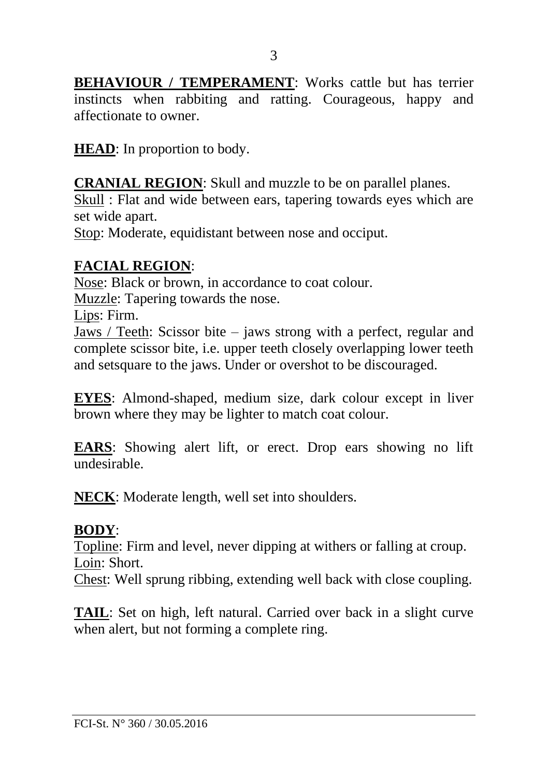**BEHAVIOUR / TEMPERAMENT:** Works cattle but has terrier instincts when rabbiting and ratting. Courageous, happy and affectionate to owner.

**HEAD**: In proportion to body.

**CRANIAL REGION**: Skull and muzzle to be on parallel planes.

Skull : Flat and wide between ears, tapering towards eyes which are set wide apart.

Stop: Moderate, equidistant between nose and occiput.

#### **FACIAL REGION**:

Nose: Black or brown, in accordance to coat colour.

Muzzle: Tapering towards the nose.

Lips: Firm.

Jaws / Teeth: Scissor bite – jaws strong with a perfect, regular and complete scissor bite, i.e. upper teeth closely overlapping lower teeth and setsquare to the jaws. Under or overshot to be discouraged.

**EYES**: Almond-shaped, medium size, dark colour except in liver brown where they may be lighter to match coat colour.

**EARS**: Showing alert lift, or erect. Drop ears showing no lift undesirable.

**NECK**: Moderate length, well set into shoulders.

#### **BODY**:

Topline: Firm and level, never dipping at withers or falling at croup. Loin: Short.

Chest: Well sprung ribbing, extending well back with close coupling.

**TAIL**: Set on high, left natural. Carried over back in a slight curve when alert, but not forming a complete ring.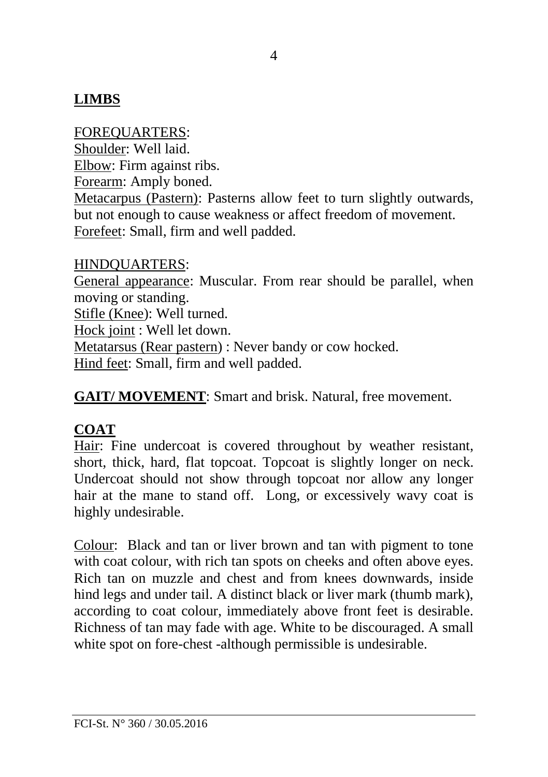## **LIMBS**

FOREQUARTERS: Shoulder: Well laid. Elbow: Firm against ribs. Forearm: Amply boned. Metacarpus (Pastern): Pasterns allow feet to turn slightly outwards, but not enough to cause weakness or affect freedom of movement. Forefeet: Small, firm and well padded.

#### HINDQUARTERS:

General appearance: Muscular. From rear should be parallel, when moving or standing. Stifle (Knee): Well turned.

Hock joint : Well let down.

Metatarsus (Rear pastern) : Never bandy or cow hocked.

Hind feet: Small, firm and well padded.

**GAIT/ MOVEMENT**: Smart and brisk. Natural, free movement.

## **COAT**

Hair: Fine undercoat is covered throughout by weather resistant, short, thick, hard, flat topcoat. Topcoat is slightly longer on neck. Undercoat should not show through topcoat nor allow any longer hair at the mane to stand off. Long, or excessively wavy coat is highly undesirable.

Colour: Black and tan or liver brown and tan with pigment to tone with coat colour, with rich tan spots on cheeks and often above eyes. Rich tan on muzzle and chest and from knees downwards, inside hind legs and under tail. A distinct black or liver mark (thumb mark), according to coat colour, immediately above front feet is desirable. Richness of tan may fade with age. White to be discouraged. A small white spot on fore-chest -although permissible is undesirable.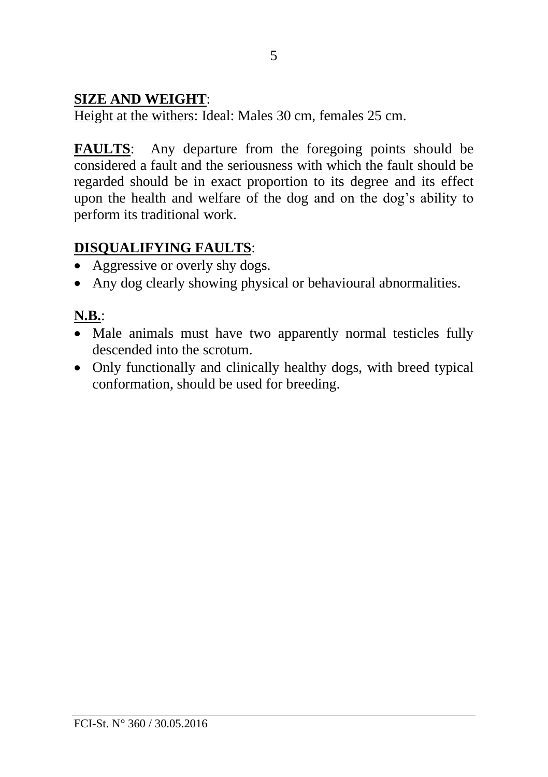### **SIZE AND WEIGHT**:

Height at the withers: Ideal: Males 30 cm, females 25 cm.

**FAULTS**: Any departure from the foregoing points should be considered a fault and the seriousness with which the fault should be regarded should be in exact proportion to its degree and its effect upon the health and welfare of the dog and on the dog's ability to perform its traditional work.

## **DISQUALIFYING FAULTS**:

- Aggressive or overly shy dogs.
- Any dog clearly showing physical or behavioural abnormalities.

## **N.B.**:

- Male animals must have two apparently normal testicles fully descended into the scrotum.
- Only functionally and clinically healthy dogs, with breed typical conformation, should be used for breeding.